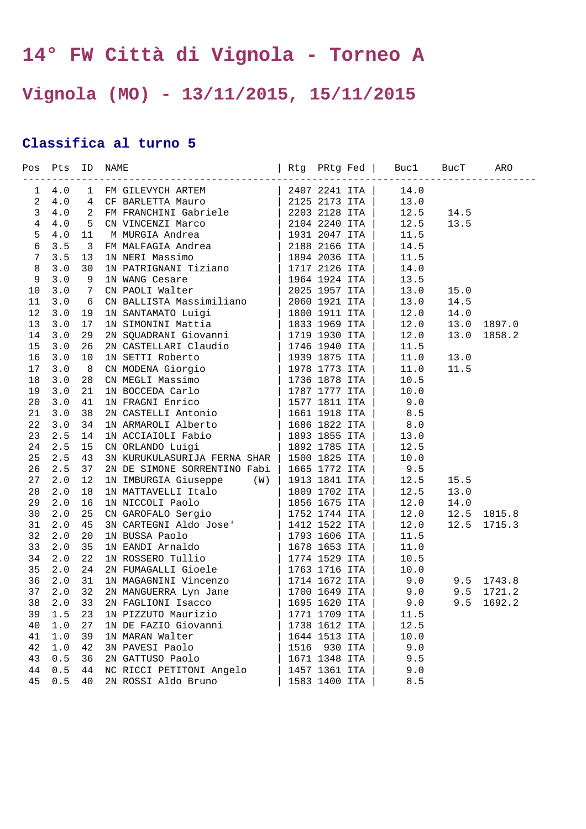## **14° FW Città di Vignola - Torneo A**

## **Vignola (MO) - 13/11/2015, 15/11/2015**

## **Classifica al turno 5**

|                | Pos Pts  |                |                                                                                                                                                                                                                                                                                                                                                                                                                                                                                                                |               |               |                      |                |            |
|----------------|----------|----------------|----------------------------------------------------------------------------------------------------------------------------------------------------------------------------------------------------------------------------------------------------------------------------------------------------------------------------------------------------------------------------------------------------------------------------------------------------------------------------------------------------------------|---------------|---------------|----------------------|----------------|------------|
| $\mathbf{1}$   | 4.0      |                | 1 FM GILEVYCH ARTEM   2407 2241 ITA   14.0<br>$\begin{tabular}{l c c c c} \multicolumn{1}{c}{\textbf{F}} & \multicolumn{1}{c}{\textbf{C}}{\textbf{F}} & \multicolumn{1}{c}{\textbf{C}}{\textbf{F}} & \multicolumn{1}{c}{\textbf{C}}{\textbf{F}} & \multicolumn{1}{c}{\textbf{C}}{\textbf{F}} & \multicolumn{1}{c}{\textbf{C}}{\textbf{F}} & \multicolumn{1}{c}{\textbf{D}}{\textbf{F}} & \multicolumn{1}{c}{\textbf{D}}{\textbf{F}} & \multicolumn{1}{c}{\textbf{D}}{\textbf{F}} & \multicolumn{1}{c}{\textbf$ |               |               |                      |                |            |
| $\overline{a}$ | 4.0      | $\overline{4}$ |                                                                                                                                                                                                                                                                                                                                                                                                                                                                                                                |               |               |                      |                |            |
| $\mathbf{3}$   | 4.0      | 2              |                                                                                                                                                                                                                                                                                                                                                                                                                                                                                                                |               |               | 12.5                 | 14.5           |            |
| $\overline{4}$ | 4.0      | 5              |                                                                                                                                                                                                                                                                                                                                                                                                                                                                                                                |               |               | 12.5                 | 13.5           |            |
| 5              | $4.0$    | 11             |                                                                                                                                                                                                                                                                                                                                                                                                                                                                                                                |               |               |                      |                |            |
| $\epsilon$     | 3.5      | 3              |                                                                                                                                                                                                                                                                                                                                                                                                                                                                                                                |               |               |                      |                |            |
| $\sqrt{ }$     | 3.5      | 13             |                                                                                                                                                                                                                                                                                                                                                                                                                                                                                                                |               |               |                      |                |            |
| $\,8\,$        | 3.0      | 30             |                                                                                                                                                                                                                                                                                                                                                                                                                                                                                                                |               |               |                      |                |            |
| 9              | 3.0      | 9              |                                                                                                                                                                                                                                                                                                                                                                                                                                                                                                                |               |               |                      |                |            |
| 10             | 3.0      | 7              |                                                                                                                                                                                                                                                                                                                                                                                                                                                                                                                |               |               |                      | 15.0           |            |
| 11             | 3.0      | 6              |                                                                                                                                                                                                                                                                                                                                                                                                                                                                                                                |               |               |                      | 14.5           |            |
| 12             | 3.0      | 19             |                                                                                                                                                                                                                                                                                                                                                                                                                                                                                                                |               |               | 12.0                 | 14.0           |            |
| 13             | 3.0      | 17             |                                                                                                                                                                                                                                                                                                                                                                                                                                                                                                                |               |               |                      | 13.0           | 1897.0     |
| 14             | 3.0      | 29             |                                                                                                                                                                                                                                                                                                                                                                                                                                                                                                                |               |               |                      | 13.0           | 1858.2     |
| 15             | 3.0      | 26             |                                                                                                                                                                                                                                                                                                                                                                                                                                                                                                                |               |               |                      |                |            |
| 16             | 3.0      | 10             |                                                                                                                                                                                                                                                                                                                                                                                                                                                                                                                |               |               |                      | 13.0           |            |
| 17             | 3.0      | 8              |                                                                                                                                                                                                                                                                                                                                                                                                                                                                                                                |               |               |                      | 11.5           |            |
| 18             | 3.0      | 28             |                                                                                                                                                                                                                                                                                                                                                                                                                                                                                                                |               |               |                      |                |            |
| 19             | 3.0      | 21             |                                                                                                                                                                                                                                                                                                                                                                                                                                                                                                                |               |               |                      |                |            |
| 20             | 3.0      | 41             |                                                                                                                                                                                                                                                                                                                                                                                                                                                                                                                |               |               |                      |                |            |
| 21             | 3.0      | 38             |                                                                                                                                                                                                                                                                                                                                                                                                                                                                                                                |               |               |                      |                |            |
| 22             | 3.0      | 34             |                                                                                                                                                                                                                                                                                                                                                                                                                                                                                                                |               |               |                      |                |            |
| 23             | 2.5      | 14             |                                                                                                                                                                                                                                                                                                                                                                                                                                                                                                                |               |               |                      |                |            |
| 24             | 2.5      | 15             |                                                                                                                                                                                                                                                                                                                                                                                                                                                                                                                |               |               |                      |                |            |
| 25             | 2.5      | 43             |                                                                                                                                                                                                                                                                                                                                                                                                                                                                                                                |               |               |                      |                |            |
| 26             | 2.5      | 37             |                                                                                                                                                                                                                                                                                                                                                                                                                                                                                                                |               |               |                      |                |            |
| 27             | 2.0      | 12             | IN IMBURGIA Giuseppe $(W)$                                                                                                                                                                                                                                                                                                                                                                                                                                                                                     | 1913 1841 ITA |               | 12.5                 | 15.5           |            |
| 28             | 2.0      | 18             |                                                                                                                                                                                                                                                                                                                                                                                                                                                                                                                |               |               |                      | 13.0           |            |
| 29             | 2.0      | 16             |                                                                                                                                                                                                                                                                                                                                                                                                                                                                                                                |               |               | 12.0                 | 14.0           |            |
| 30             | 2.0      | 25             | 1N IMBURGIA Giuseppe (W)   1913 1841 ITA   12.5<br>1N MATTAVELLI Italo   1809 1702 ITA   12.5<br>1N NICCOLI Paolo   1856 1675 ITA   12.0<br>CN GAROFALO Sergio   1752 1744 ITA   12.0<br>3N CARTEGNI Aldo Jose   1412 1522 ITA   12.0<br>                                                                                                                                                                                                                                                                      |               |               | 12.0                 | 12.5           | 1815.8     |
| 31             | 2.0      | 45             |                                                                                                                                                                                                                                                                                                                                                                                                                                                                                                                |               |               |                      | 12.5           | 1715.3     |
| 32             | 2.0      | 20             |                                                                                                                                                                                                                                                                                                                                                                                                                                                                                                                |               |               |                      |                |            |
| 33             | 2.0      | 35             |                                                                                                                                                                                                                                                                                                                                                                                                                                                                                                                |               |               |                      |                |            |
| 34             | 2.0      | 22             |                                                                                                                                                                                                                                                                                                                                                                                                                                                                                                                |               |               |                      |                |            |
| 35             | 2.0      | 24             |                                                                                                                                                                                                                                                                                                                                                                                                                                                                                                                |               |               |                      |                |            |
| 36             | 2.0      | 31             |                                                                                                                                                                                                                                                                                                                                                                                                                                                                                                                |               |               | $9.0$ $9.5$ $1743.8$ |                |            |
| 37             | 2.0      | 32             |                                                                                                                                                                                                                                                                                                                                                                                                                                                                                                                |               |               |                      |                | 9.5 1721.2 |
| 38             | $2.0$ 33 |                |                                                                                                                                                                                                                                                                                                                                                                                                                                                                                                                |               |               |                      | 9.0 9.5 1692.2 |            |
| 39             | 1.5      | 23             | 1N PIZZUTO Maurizio                                                                                                                                                                                                                                                                                                                                                                                                                                                                                            |               | 1771 1709 ITA | 11.5                 |                |            |
| 40             | 1.0      | 27             | 1N DE FAZIO Giovanni                                                                                                                                                                                                                                                                                                                                                                                                                                                                                           |               | 1738 1612 ITA | 12.5                 |                |            |
| 41             | 1.0      | 39             | 1N MARAN Walter                                                                                                                                                                                                                                                                                                                                                                                                                                                                                                |               | 1644 1513 ITA | 10.0                 |                |            |
| 42             | 1.0      | 42             | 3N PAVESI Paolo                                                                                                                                                                                                                                                                                                                                                                                                                                                                                                |               | 1516 930 ITA  | 9.0                  |                |            |
| 43             | 0.5      | 36             | 2N GATTUSO Paolo                                                                                                                                                                                                                                                                                                                                                                                                                                                                                               |               | 1671 1348 ITA | 9.5                  |                |            |
| 44             | 0.5      | 44             | NC RICCI PETITONI Angelo                                                                                                                                                                                                                                                                                                                                                                                                                                                                                       |               | 1457 1361 ITA | 9.0                  |                |            |
| 45             | 0.5      | 40             | 2N ROSSI Aldo Bruno                                                                                                                                                                                                                                                                                                                                                                                                                                                                                            |               | 1583 1400 ITA | $8.5\,$              |                |            |